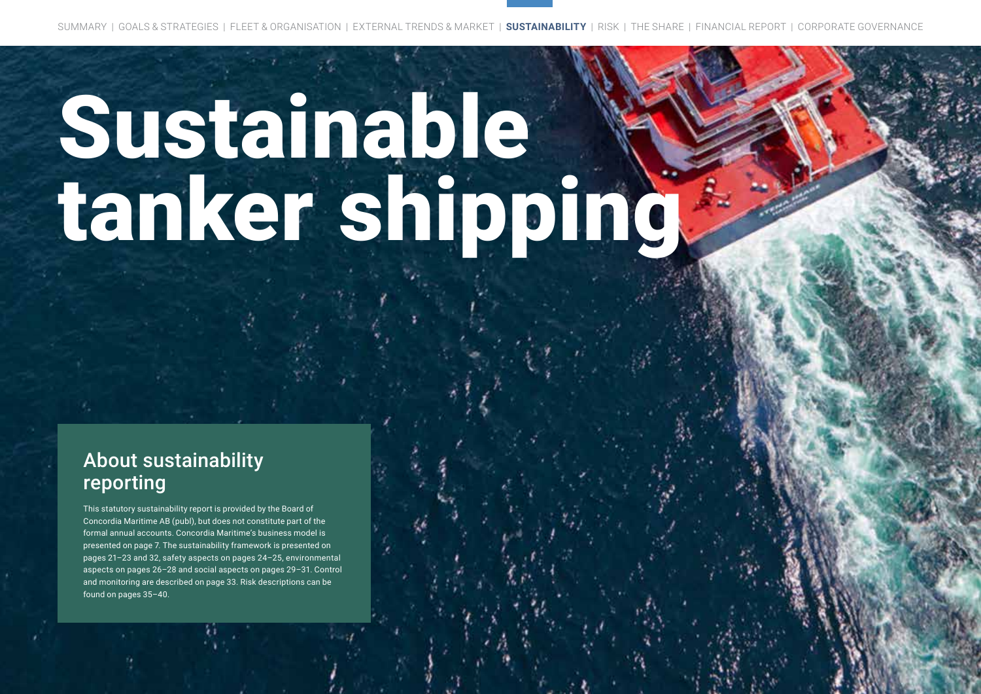CONCORDIA MARITIME ANNUAL REPORT 2020 **20**

# Sustainable tanker shipping

# About sustainability reporting

This statutory sustainability report is provided by the Board of Concordia Maritime AB (publ), but does not constitute part of the formal annual accounts. Concordia Maritime's business model is presented on page 7. The sustainability framework is presented on pages 21–23 and 32, safety aspects on pages 24–25, environmental aspects on pages 26–28 and social aspects on pages 29–31. Control and monitoring are described on page 33. Risk descriptions can be found on pages 35–40.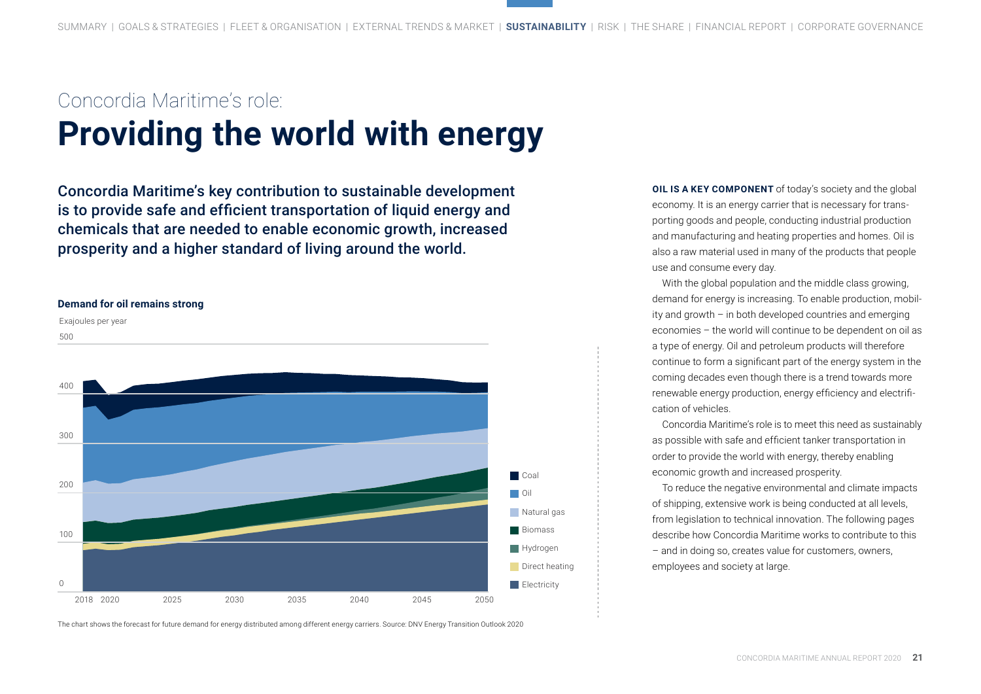# Concordia Maritime's role: **Providing the world with energy**

Concordia Maritime's key contribution to sustainable development is to provide safe and efficient transportation of liquid energy and chemicals that are needed to enable economic growth, increased prosperity and a higher standard of living around the world.



The chart shows the forecast for future demand for energy distributed among different energy carriers. Source: DNV Energy Transition Outlook 2020

**OIL IS A KEY COMPONENT** of today's society and the global economy. It is an energy carrier that is necessary for transporting goods and people, conducting industrial production and manufacturing and heating properties and homes. Oil is also a raw material used in many of the products that people use and consume every day.

With the global population and the middle class growing, demand for energy is increasing. To enable production, mobility and growth – in both developed countries and emerging economies – the world will continue to be dependent on oil as a type of energy. Oil and petroleum products will therefore continue to form a significant part of the energy system in the coming decades even though there is a trend towards more renewable energy production, energy efficiency and electrification of vehicles.

Concordia Maritime's role is to meet this need as sustainably as possible with safe and efficient tanker transportation in order to provide the world with energy, thereby enabling economic growth and increased prosperity.

To reduce the negative environmental and climate impacts of shipping, extensive work is being conducted at all levels, from legislation to technical innovation. The following pages describe how Concordia Maritime works to contribute to this – and in doing so, creates value for customers, owners, employees and society at large.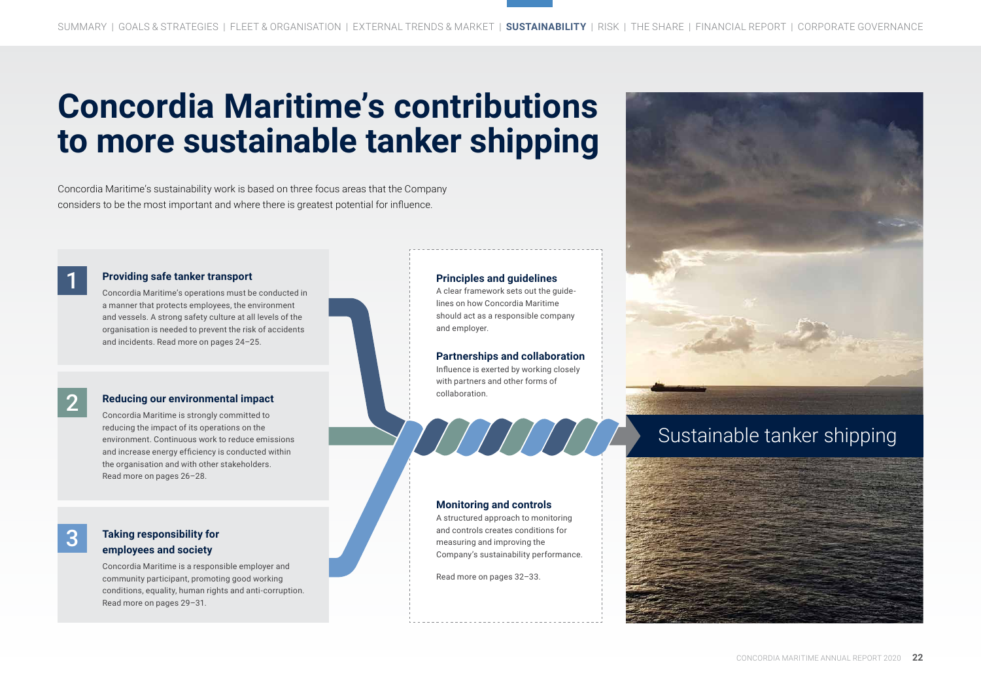# **Concordia Maritime's contributions to more sustainable tanker shipping**

Concordia Maritime's sustainability work is based on three focus areas that the Company considers to be the most important and where there is greatest potential for influence.

2

3

#### **Providing safe tanker transport**

Concordia Maritime's operations must be conducted in a manner that protects employees, the environment and vessels. A strong safety culture at all levels of the organisation is needed to prevent the risk of accidents and incidents. Read more on pages 24–25.

#### **Reducing our environmental impact**

Concordia Maritime is strongly committed to reducing the impact of its operations on the environment. Continuous work to reduce emissions and increase energy efficiency is conducted within the organisation and with other stakeholders. Read more on pages 26–28.

#### **Taking responsibility for employees and society**

Concordia Maritime is a responsible employer and community participant, promoting good working conditions, equality, human rights and anti-corruption. Read more on pages 29–31.

#### **Principles and guidelines**

A clear framework sets out the guidelines on how Concordia Maritime should act as a responsible company and employer.

**Partnerships and collaboration** Influence is exerted by working closely with partners and other forms of collaboration.

THIHITI

#### **Monitoring and controls**

A structured approach to monitoring and controls creates conditions for measuring and improving the Company's sustainability performance.

Read more on pages 32–33.



# Sustainable tanker shipping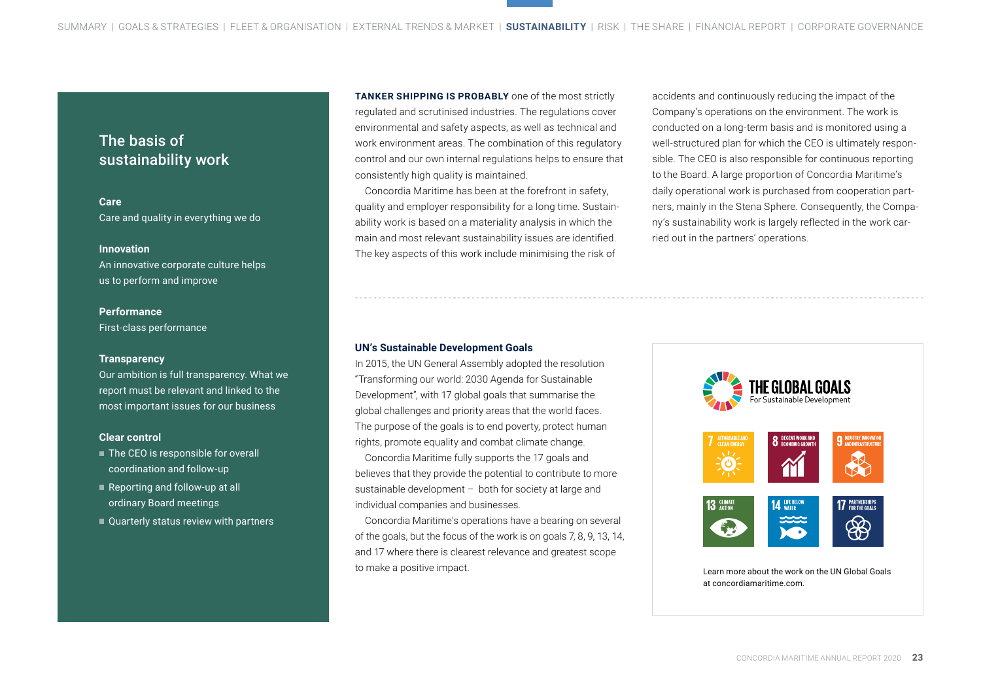### The basis of sustainability work

**Care**  Care and quality in everything we do

#### **Innovation**

An innovative corporate culture helps us to perform and improve

#### **Performance**

First-class performance

#### **Transparency**

Our ambition is full transparency. What we report must be relevant and linked to the most important issues for our business

#### **Clear control**

- The CEO is responsible for overall coordination and follow-up
- Reporting and follow-up at all ordinary Board meetings
- Quarterly status review with partners

**TANKER SHIPPING IS PROBABLY** one of the most strictly regulated and scrutinised industries. The regulations cover environmental and safety aspects, as well as technical and work environment areas. The combination of this regulatory control and our own internal regulations helps to ensure that consistently high quality is maintained.

Concordia Maritime has been at the forefront in safety, quality and employer responsibility for a long time. Sustainability work is based on a materiality analysis in which the main and most relevant sustainability issues are identified. The key aspects of this work include minimising the risk of

accidents and continuously reducing the impact of the Company's operations on the environment. The work is conducted on a long-term basis and is monitored using a well-structured plan for which the CEO is ultimately responsible. The CEO is also responsible for continuous reporting to the Board. A large proportion of Concordia Maritime's daily operational work is purchased from cooperation partners, mainly in the Stena Sphere. Consequently, the Company's sustainability work is largely reflected in the work carried out in the partners' operations.

#### **UN's Sustainable Development Goals**

In 2015, the UN General Assembly adopted the resolution "Transforming our world: 2030 Agenda for Sustainable Development", with 17 global goals that summarise the global challenges and priority areas that the world faces. The purpose of the goals is to end poverty, protect human rights, promote equality and combat climate change.

Concordia Maritime fully supports the 17 goals and believes that they provide the potential to contribute to more sustainable development – both for society at large and individual companies and businesses.

Concordia Maritime's operations have a bearing on several of the goals, but the focus of the work is on goals 7, 8, 9, 13, 14, and 17 where there is clearest relevance and greatest scope to make a positive impact.

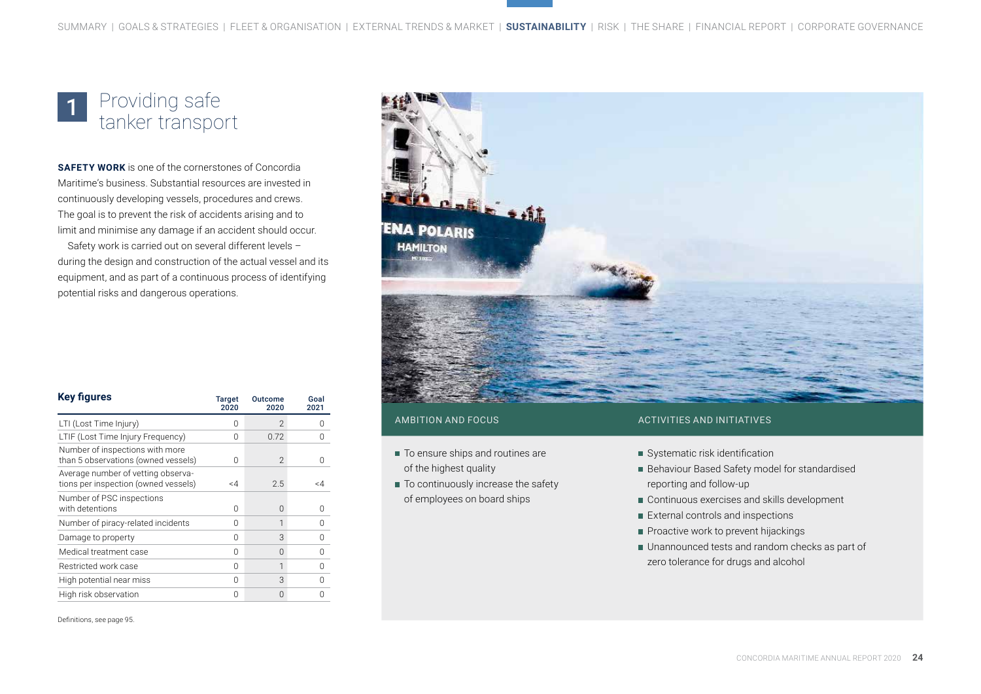#### Providing safe tanker transport 1

**SAFETY WORK** is one of the cornerstones of Concordia Maritime's business. Substantial resources are invested in continuously developing vessels, procedures and crews. The goal is to prevent the risk of accidents arising and to limit and minimise any damage if an accident should occur.

Safety work is carried out on several different levels – during the design and construction of the actual vessel and its equipment, and as part of a continuous process of identifying potential risks and dangerous operations.



#### **Key figures** Target 2020 Outcome 2020 Goal 2021 LTI (Lost Time Injury) 0 2 0 LTIF (Lost Time Injury Frequency) 0 0.72 0 Number of inspections with more than 5 observations (owned vessels)  $\begin{array}{ccc} 0 & 2 & 0 \end{array}$ Average number of vetting observations per inspection (owned vessels) <4 2.5 <4 Number of PSC inspections with detentions and the control of the control of the control of the control of the control of the control of the control of the control of the control of the control of the control of the control of the control of the con Number of piracy-related incidents 0 1 0 Damage to property and the control of the control of the control of the control of the control of the control o Medical treatment case 0 0 0 Restricted work case 0 1 0 High potential near miss 0 3 0 0 High risk observation and the control of the control of the control of the control of the control of the control of the control of the control of the control of the control of the control of the control of the control of t

- To ensure ships and routines are of the highest quality
- To continuously increase the safety of employees on board ships

#### AMBITION AND FOCUS ACTIVITIES AND INITIATIVES

- Systematic risk identification
- Behaviour Based Safety model for standardised reporting and follow-up
- Continuous exercises and skills development
- External controls and inspections
- Proactive work to prevent hijackings
- Unannounced tests and random checks as part of zero tolerance for drugs and alcohol

Definitions, see page 95.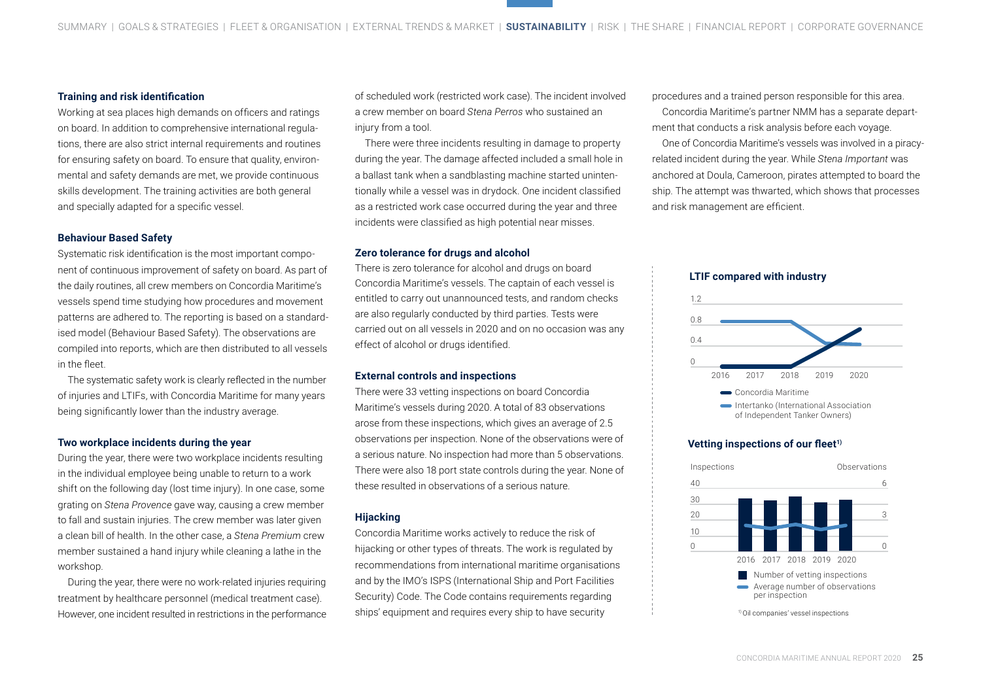#### **Training and risk identification**

Working at sea places high demands on officers and ratings on board. In addition to comprehensive international regulations, there are also strict internal requirements and routines for ensuring safety on board. To ensure that quality, environmental and safety demands are met, we provide continuous skills development. The training activities are both general and specially adapted for a specific vessel.

#### **Behaviour Based Safety**

Systematic risk identification is the most important component of continuous improvement of safety on board. As part of the daily routines, all crew members on Concordia Maritime's vessels spend time studying how procedures and movement patterns are adhered to. The reporting is based on a standardised model (Behaviour Based Safety). The observations are compiled into reports, which are then distributed to all vessels in the fleet.

The systematic safety work is clearly reflected in the number of injuries and LTIFs, with Concordia Maritime for many years being significantly lower than the industry average.

#### **Two workplace incidents during the year**

During the year, there were two workplace incidents resulting in the individual employee being unable to return to a work shift on the following day (lost time injury). In one case, some grating on *Stena Provence* gave way, causing a crew member to fall and sustain injuries. The crew member was later given a clean bill of health. In the other case, a *Stena Premium* crew member sustained a hand injury while cleaning a lathe in the workshop.

During the year, there were no work-related injuries requiring treatment by healthcare personnel (medical treatment case). However, one incident resulted in restrictions in the performance of scheduled work (restricted work case). The incident involved a crew member on board *Stena Perros* who sustained an injury from a tool.

There were three incidents resulting in damage to property during the year. The damage affected included a small hole in a ballast tank when a sandblasting machine started unintentionally while a vessel was in drydock. One incident classified as a restricted work case occurred during the year and three incidents were classified as high potential near misses.

#### **Zero tolerance for drugs and alcohol**

There is zero tolerance for alcohol and drugs on board Concordia Maritime's vessels. The captain of each vessel is entitled to carry out unannounced tests, and random checks are also regularly conducted by third parties. Tests were carried out on all vessels in 2020 and on no occasion was any effect of alcohol or drugs identified.

#### **External controls and inspections**

There were 33 vetting inspections on board Concordia Maritime's vessels during 2020. A total of 83 observations arose from these inspections, which gives an average of 2.5 observations per inspection. None of the observations were of a serious nature. No inspection had more than 5 observations. There were also 18 port state controls during the year. None of these resulted in observations of a serious nature.

#### **Hijacking**

Concordia Maritime works actively to reduce the risk of hijacking or other types of threats. The work is regulated by recommendations from international maritime organisations and by the IMO's ISPS (International Ship and Port Facilities Security) Code. The Code contains requirements regarding ships' equipment and requires every ship to have security

procedures and a trained person responsible for this area. Concordia Maritime's partner NMM has a separate department that conducts a risk analysis before each voyage.

One of Concordia Maritime's vessels was involved in a piracyrelated incident during the year. While *Stena Important* was anchored at Doula, Cameroon, pirates attempted to board the ship. The attempt was thwarted, which shows that processes and risk management are efficient.

#### **LTIF compared with industry**



#### **Vetting inspections of our fleet1)**

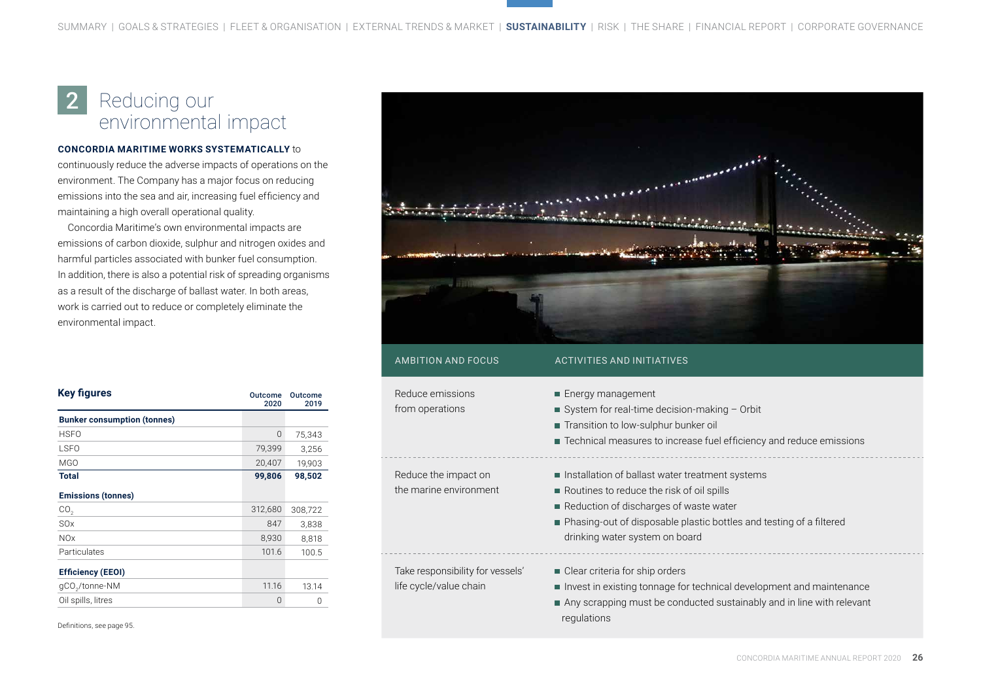#### Reducing our environmental impact 2

#### **CONCORDIA MARITIME WORKS SYSTEMATICALLY** to

continuously reduce the adverse impacts of operations on the environment. The Company has a major focus on reducing emissions into the sea and air, increasing fuel efficiency and maintaining a high overall operational quality.

Concordia Maritime's own environmental impacts are emissions of carbon dioxide, sulphur and nitrogen oxides and harmful particles associated with bunker fuel consumption. In addition, there is also a potential risk of spreading organisms as a result of the discharge of ballast water. In both areas, work is carried out to reduce or completely eliminate the environmental impact.

| <b>Key figures</b>                 | <b>Outcome</b><br>2020 | Outcome<br>2019 |
|------------------------------------|------------------------|-----------------|
| <b>Bunker consumption (tonnes)</b> |                        |                 |
| <b>HSFO</b>                        | 0                      | 75,343          |
| <b>LSFO</b>                        | 79,399                 | 3,256           |
| MGO                                | 20,407                 | 19,903          |
| Total                              | 99,806                 | 98,502          |
| <b>Emissions (tonnes)</b>          |                        |                 |
| CO <sub>2</sub>                    | 312,680                | 308,722         |
| <b>SO<sub>x</sub></b>              | 847                    | 3,838           |
| <b>NOx</b>                         | 8,930                  | 8,818           |
| Particulates                       | 101.6                  | 100.5           |
| <b>Efficiency (EEOI)</b>           |                        |                 |
| gCO <sub>2</sub> /tonne-NM         | 11.16                  | 13.14           |
| Oil spills, litres                 | 0                      | $\Omega$        |

Definitions, see page 95.



| Reduce emissions<br>from operations                        | ■ Energy management<br>System for real-time decision-making $-$ Orbit<br>■ Transition to low-sulphur bunker oil<br>Technical measures to increase fuel efficiency and reduce emissions                                                            |
|------------------------------------------------------------|---------------------------------------------------------------------------------------------------------------------------------------------------------------------------------------------------------------------------------------------------|
| Reduce the impact on<br>the marine environment             | Installation of ballast water treatment systems<br>Routines to reduce the risk of oil spills<br>Reduction of discharges of waste water<br>■ Phasing-out of disposable plastic bottles and testing of a filtered<br>drinking water system on board |
| Take responsibility for vessels'<br>life cycle/value chain | ■ Clear criteria for ship orders<br>Invest in existing tonnage for technical development and maintenance<br>Any scrapping must be conducted sustainably and in line with relevant<br>regulations                                                  |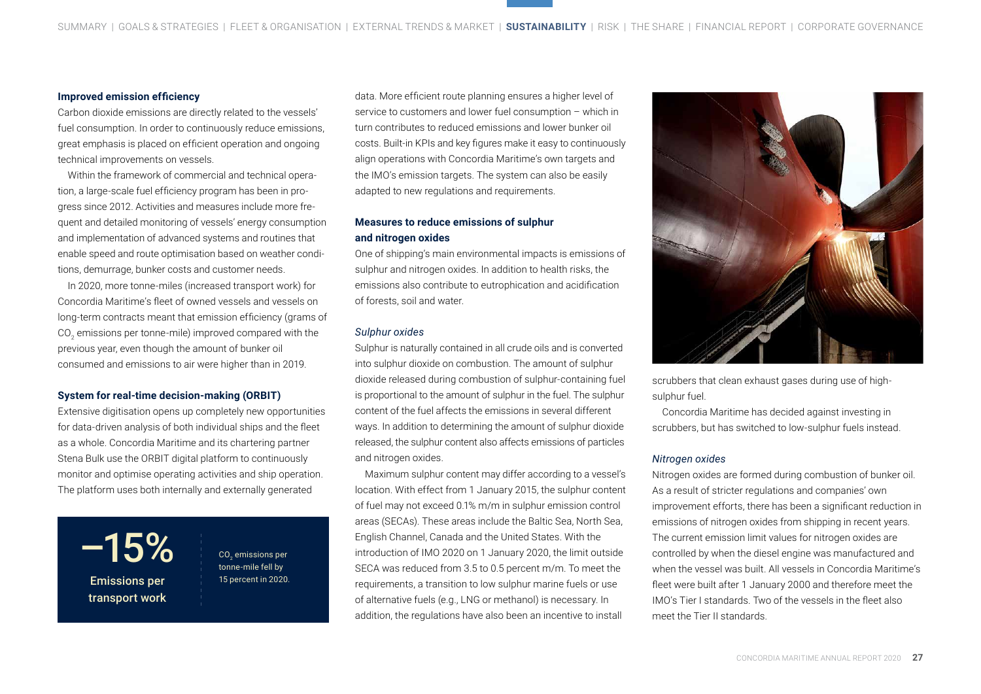#### **Improved emission efficiency**

Carbon dioxide emissions are directly related to the vessels' fuel consumption. In order to continuously reduce emissions, great emphasis is placed on efficient operation and ongoing technical improvements on vessels.

Within the framework of commercial and technical operation, a large-scale fuel efficiency program has been in progress since 2012. Activities and measures include more frequent and detailed monitoring of vessels' energy consumption and implementation of advanced systems and routines that enable speed and route optimisation based on weather conditions, demurrage, bunker costs and customer needs.

In 2020, more tonne-miles (increased transport work) for Concordia Maritime's fleet of owned vessels and vessels on long-term contracts meant that emission efficiency (grams of CO $_{\text{2}}$  emissions per tonne-mile) improved compared with the previous year, even though the amount of bunker oil consumed and emissions to air were higher than in 2019.

#### **System for real-time decision-making (ORBIT)**

Extensive digitisation opens up completely new opportunities for data-driven analysis of both individual ships and the fleet as a whole. Concordia Maritime and its chartering partner Stena Bulk use the ORBIT digital platform to continuously monitor and optimise operating activities and ship operation. The platform uses both internally and externally generated

 $-15%$ Emissions per 15 percent in 2020. transport work

CO<sub>2</sub> emissions per tonne-mile fell by

data. More efficient route planning ensures a higher level of service to customers and lower fuel consumption – which in turn contributes to reduced emissions and lower bunker oil costs. Built-in KPIs and key figures make it easy to continuously align operations with Concordia Maritime's own targets and the IMO's emission targets. The system can also be easily adapted to new regulations and requirements.

#### **Measures to reduce emissions of sulphur and nitrogen oxides**

One of shipping's main environmental impacts is emissions of sulphur and nitrogen oxides. In addition to health risks, the emissions also contribute to eutrophication and acidification of forests, soil and water.

#### *Sulphur oxides*

Sulphur is naturally contained in all crude oils and is converted into sulphur dioxide on combustion. The amount of sulphur dioxide released during combustion of sulphur-containing fuel is proportional to the amount of sulphur in the fuel. The sulphur content of the fuel affects the emissions in several different ways. In addition to determining the amount of sulphur dioxide released, the sulphur content also affects emissions of particles and nitrogen oxides.

Maximum sulphur content may differ according to a vessel's location. With effect from 1 January 2015, the sulphur content of fuel may not exceed 0.1% m/m in sulphur emission control areas (SECAs). These areas include the Baltic Sea, North Sea, English Channel, Canada and the United States. With the introduction of IMO 2020 on 1 January 2020, the limit outside SECA was reduced from 3.5 to 0.5 percent m/m. To meet the requirements, a transition to low sulphur marine fuels or use of alternative fuels (e.g., LNG or methanol) is necessary. In addition, the regulations have also been an incentive to install



scrubbers that clean exhaust gases during use of highsulphur fuel.

Concordia Maritime has decided against investing in scrubbers, but has switched to low-sulphur fuels instead.

#### *Nitrogen oxides*

Nitrogen oxides are formed during combustion of bunker oil. As a result of stricter regulations and companies' own improvement efforts, there has been a significant reduction in emissions of nitrogen oxides from shipping in recent years. The current emission limit values for nitrogen oxides are controlled by when the diesel engine was manufactured and when the vessel was built. All vessels in Concordia Maritime's fleet were built after 1 January 2000 and therefore meet the IMO's Tier I standards. Two of the vessels in the fleet also meet the Tier II standards.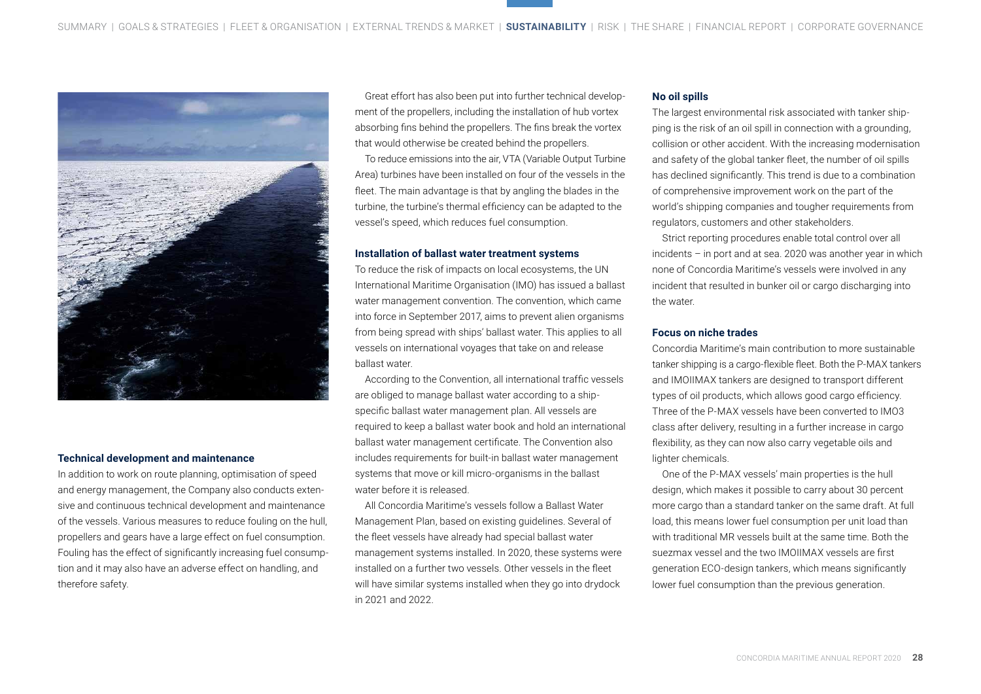

#### **Technical development and maintenance**

In addition to work on route planning, optimisation of speed and energy management, the Company also conducts extensive and continuous technical development and maintenance of the vessels. Various measures to reduce fouling on the hull, propellers and gears have a large effect on fuel consumption. Fouling has the effect of significantly increasing fuel consumption and it may also have an adverse effect on handling, and therefore safety.

Great effort has also been put into further technical development of the propellers, including the installation of hub vortex absorbing fins behind the propellers. The fins break the vortex that would otherwise be created behind the propellers.

To reduce emissions into the air, VTA (Variable Output Turbine Area) turbines have been installed on four of the vessels in the fleet. The main advantage is that by angling the blades in the turbine, the turbine's thermal efficiency can be adapted to the vessel's speed, which reduces fuel consumption.

#### **Installation of ballast water treatment systems**

To reduce the risk of impacts on local ecosystems, the UN International Maritime Organisation (IMO) has issued a ballast water management convention. The convention, which came into force in September 2017, aims to prevent alien organisms from being spread with ships' ballast water. This applies to all vessels on international voyages that take on and release ballast water.

According to the Convention, all international traffic vessels are obliged to manage ballast water according to a shipspecific ballast water management plan. All vessels are required to keep a ballast water book and hold an international ballast water management certificate. The Convention also includes requirements for built-in ballast water management systems that move or kill micro-organisms in the ballast water before it is released.

All Concordia Maritime's vessels follow a Ballast Water Management Plan, based on existing guidelines. Several of the fleet vessels have already had special ballast water management systems installed. In 2020, these systems were installed on a further two vessels. Other vessels in the fleet will have similar systems installed when they go into drydock in 2021 and 2022.

#### **No oil spills**

The largest environmental risk associated with tanker shipping is the risk of an oil spill in connection with a grounding, collision or other accident. With the increasing modernisation and safety of the global tanker fleet, the number of oil spills has declined significantly. This trend is due to a combination of comprehensive improvement work on the part of the world's shipping companies and tougher requirements from regulators, customers and other stakeholders.

Strict reporting procedures enable total control over all incidents – in port and at sea. 2020 was another year in which none of Concordia Maritime's vessels were involved in any incident that resulted in bunker oil or cargo discharging into the water.

#### **Focus on niche trades**

Concordia Maritime's main contribution to more sustainable tanker shipping is a cargo-flexible fleet. Both the P-MAX tankers and IMOIIMAX tankers are designed to transport different types of oil products, which allows good cargo efficiency. Three of the P-MAX vessels have been converted to IMO3 class after delivery, resulting in a further increase in cargo flexibility, as they can now also carry vegetable oils and lighter chemicals.

One of the P-MAX vessels' main properties is the hull design, which makes it possible to carry about 30 percent more cargo than a standard tanker on the same draft. At full load, this means lower fuel consumption per unit load than with traditional MR vessels built at the same time. Both the suezmax vessel and the two IMOIIMAX vessels are first generation ECO-design tankers, which means significantly lower fuel consumption than the previous generation.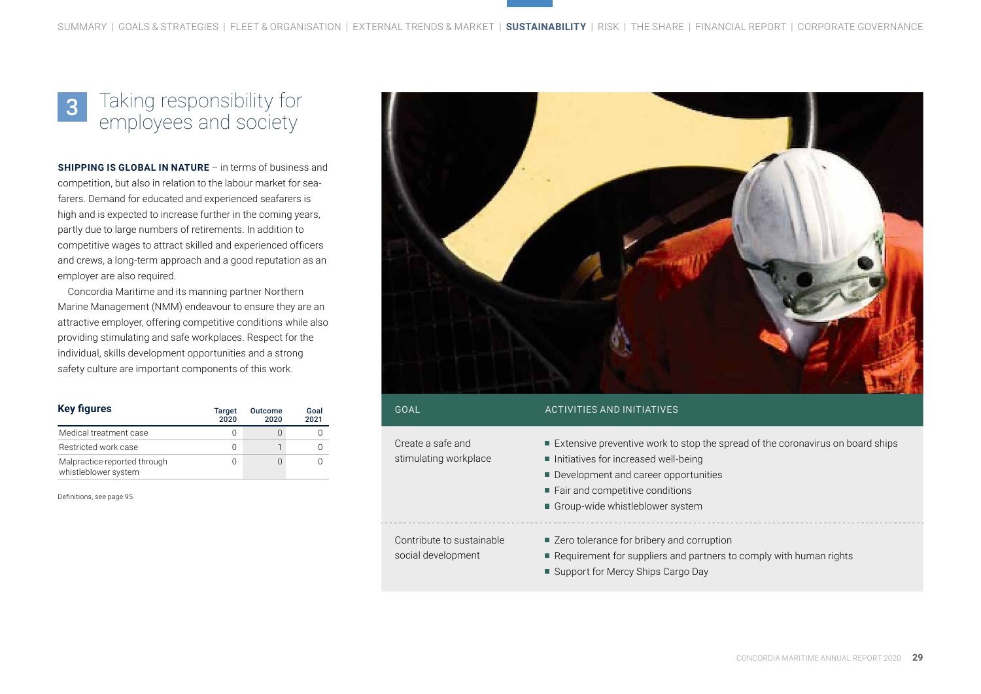#### Taking responsibility for employees and society 3

**SHIPPING IS GLOBAL IN NATURE** – in terms of business and competition, but also in relation to the labour market for seafarers. Demand for educated and experienced seafarers is high and is expected to increase further in the coming years, partly due to large numbers of retirements. In addition to competitive wages to attract skilled and experienced officers and crews, a long-term approach and a good reputation as an employer are also required.

Concordia Maritime and its manning partner Northern Marine Management (NMM) endeavour to ensure they are an attractive employer, offering competitive conditions while also providing stimulating and safe workplaces. Respect for the individual, skills development opportunities and a strong safety culture are important components of this work.

| <b>Key figures</b>                                   | <b>Target</b><br>2020 | <b>Outcome</b><br>2020 | Goal<br>2021 |
|------------------------------------------------------|-----------------------|------------------------|--------------|
| Medical treatment case                               |                       |                        |              |
| Restricted work case                                 | 0                     |                        |              |
| Malpractice reported through<br>whistleblower system |                       |                        |              |

Definitions, see page 95.



| GOAL                                            | <b>ACTIVITIES AND INITIATIVES</b>                                                                                                                                                                                                        |
|-------------------------------------------------|------------------------------------------------------------------------------------------------------------------------------------------------------------------------------------------------------------------------------------------|
| Create a safe and<br>stimulating workplace      | ■ Extensive preventive work to stop the spread of the coronavirus on board ships<br>Initiatives for increased well-being<br>Development and career opportunities<br>■ Fair and competitive conditions<br>Group-wide whistleblower system |
| Contribute to sustainable<br>social development | ■ Zero tolerance for bribery and corruption<br>Requirement for suppliers and partners to comply with human rights<br>■ Support for Mercy Ships Cargo Day                                                                                 |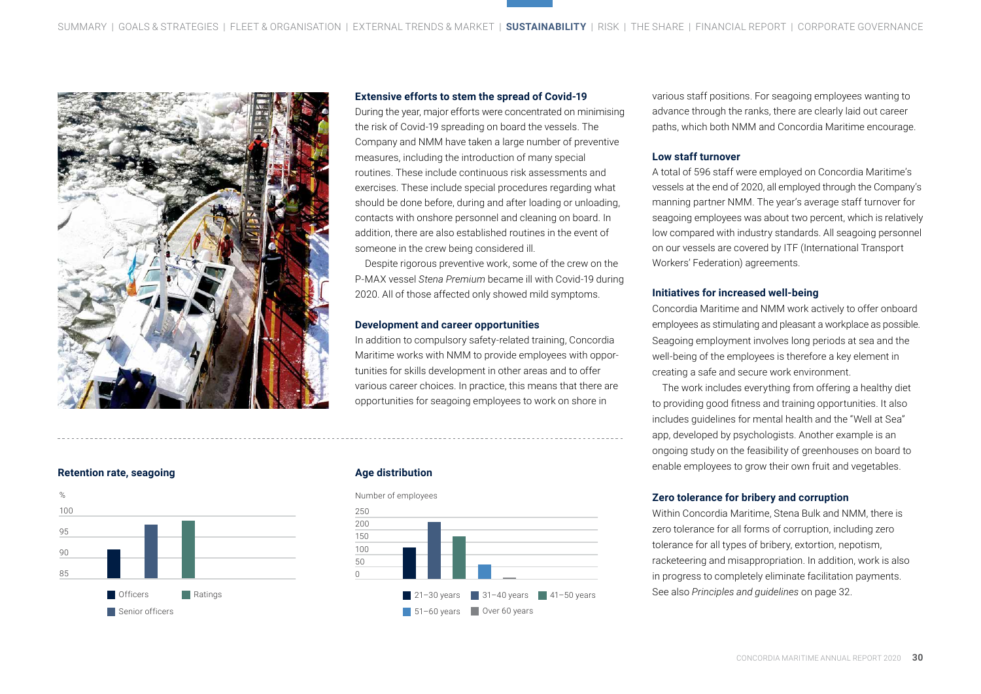

#### **Extensive efforts to stem the spread of Covid-19**

During the year, major efforts were concentrated on minimising the risk of Covid-19 spreading on board the vessels. The Company and NMM have taken a large number of preventive measures, including the introduction of many special routines. These include continuous risk assessments and exercises. These include special procedures regarding what should be done before, during and after loading or unloading, contacts with onshore personnel and cleaning on board. In addition, there are also established routines in the event of someone in the crew being considered ill.

Despite rigorous preventive work, some of the crew on the P-MAX vessel *Stena Premium* became ill with Covid-19 during 2020. All of those affected only showed mild symptoms.

#### **Development and career opportunities**

In addition to compulsory safety-related training, Concordia Maritime works with NMM to provide employees with opportunities for skills development in other areas and to offer various career choices. In practice, this means that there are opportunities for seagoing employees to work on shore in

**Retention rate, seagoing**



#### **Age distribution**





various staff positions. For seagoing employees wanting to advance through the ranks, there are clearly laid out career paths, which both NMM and Concordia Maritime encourage.

#### **Low staff turnover**

A total of 596 staff were employed on Concordia Maritime's vessels at the end of 2020, all employed through the Company's manning partner NMM. The year's average staff turnover for seagoing employees was about two percent, which is relatively low compared with industry standards. All seagoing personnel on our vessels are covered by ITF (International Transport Workers' Federation) agreements.

#### **Initiatives for increased well-being**

Concordia Maritime and NMM work actively to offer onboard employees as stimulating and pleasant a workplace as possible. Seagoing employment involves long periods at sea and the well-being of the employees is therefore a key element in creating a safe and secure work environment.

The work includes everything from offering a healthy diet to providing good fitness and training opportunities. It also includes guidelines for mental health and the "Well at Sea" app, developed by psychologists. Another example is an ongoing study on the feasibility of greenhouses on board to enable employees to grow their own fruit and vegetables.

#### **Zero tolerance for bribery and corruption**

Within Concordia Maritime, Stena Bulk and NMM, there is zero tolerance for all forms of corruption, including zero tolerance for all types of bribery, extortion, nepotism, racketeering and misappropriation. In addition, work is also in progress to completely eliminate facilitation payments. See also *Principles and guidelines* on page 32.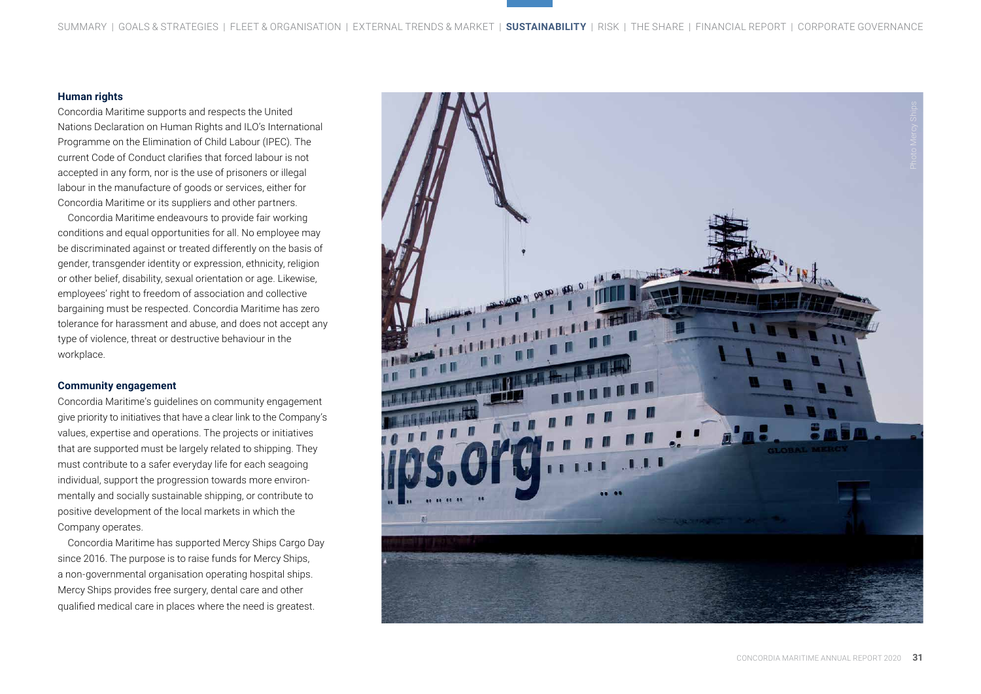#### **Human rights**

Concordia Maritime supports and respects the United Nations Declaration on Human Rights and ILO's International Programme on the Elimination of Child Labour (IPEC). The current Code of Conduct clarifies that forced labour is not accepted in any form, nor is the use of prisoners or illegal labour in the manufacture of goods or services, either for Concordia Maritime or its suppliers and other partners.

Concordia Maritime endeavours to provide fair working conditions and equal opportunities for all. No employee may be discriminated against or treated differently on the basis of gender, transgender identity or expression, ethnicity, religion or other belief, disability, sexual orientation or age. Likewise, employees' right to freedom of association and collective bargaining must be respected. Concordia Maritime has zero tolerance for harassment and abuse, and does not accept any type of violence, threat or destructive behaviour in the workplace.

#### **Community engagement**

Concordia Maritime's guidelines on community engagement give priority to initiatives that have a clear link to the Company's values, expertise and operations. The projects or initiatives that are supported must be largely related to shipping. They must contribute to a safer everyday life for each seagoing individual, support the progression towards more environ mentally and socially sustainable shipping, or contribute to positive development of the local markets in which the Company operates.

Concordia Maritime has supported Mercy Ships Cargo Day since 2016. The purpose is to raise funds for Mercy Ships, a non-governmental organisation operating hospital ships. Mercy Ships provides free surgery, dental care and other qualified medical care in places where the need is greatest.

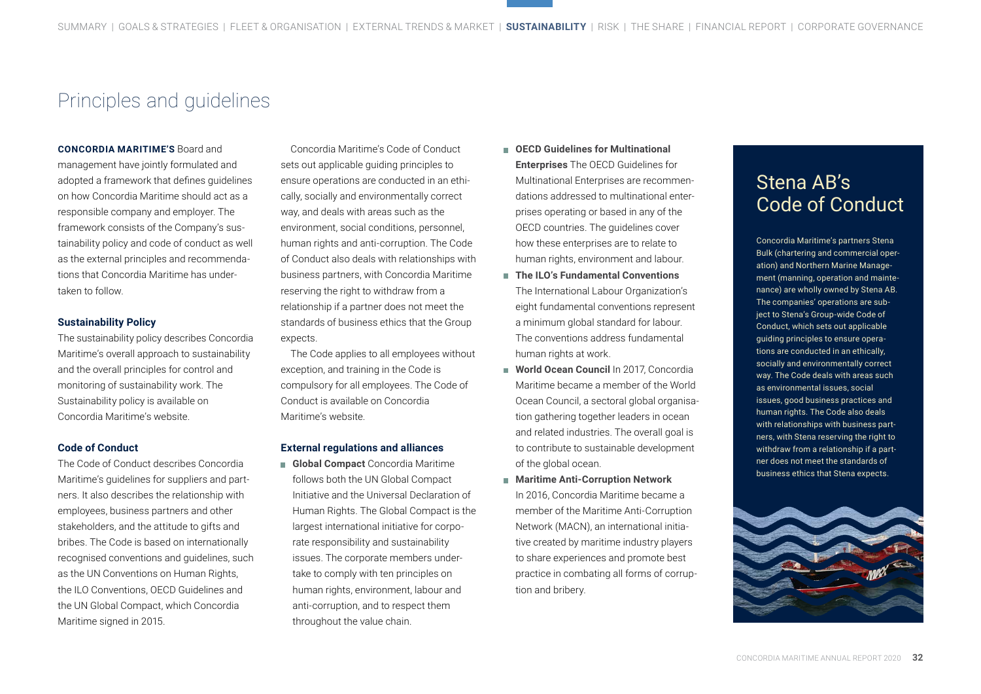## Principles and guidelines

#### **CONCORDIA MARITIME'S** Board and

management have jointly formulated and adopted a framework that defines guidelines on how Concordia Maritime should act as a responsible company and employer. The framework consists of the Company's sustainability policy and code of conduct as well as the external principles and recommendations that Concordia Maritime has undertaken to follow.

#### **Sustainability Policy**

The sustainability policy describes Concordia Maritime's overall approach to sustainability and the overall principles for control and monitoring of sustainability work. The Sustainability policy is available on Concordia Maritime's website.

#### **Code of Conduct**

The Code of Conduct describes Concordia Maritime's guidelines for suppliers and partners. It also describes the relationship with employees, business partners and other stakeholders, and the attitude to gifts and bribes. The Code is based on internationally recognised conventions and guidelines, such as the UN Conventions on Human Rights, the ILO Conventions, OECD Guidelines and the UN Global Compact, which Concordia Maritime signed in 2015.

Concordia Maritime's Code of Conduct sets out applicable guiding principles to ensure operations are conducted in an ethically, socially and environmentally correct way, and deals with areas such as the environment, social conditions, personnel, human rights and anti-corruption. The Code of Conduct also deals with relationships with business partners, with Concordia Maritime reserving the right to withdraw from a relationship if a partner does not meet the standards of business ethics that the Group expects.

The Code applies to all employees without exception, and training in the Code is compulsory for all employees. The Code of Conduct is available on Concordia Maritime's website.

#### **External regulations and alliances**

 **Global Compact** Concordia Maritime follows both the UN Global Compact Initiative and the Universal Declaration of Human Rights. The Global Compact is the largest international initiative for corporate responsibility and sustainability issues. The corporate members undertake to comply with ten principles on human rights, environment, labour and anti-corruption, and to respect them throughout the value chain.

- **OECD Guidelines for Multinational Enterprises** The OECD Guidelines for Multinational Enterprises are recommendations addressed to multinational enterprises operating or based in any of the OECD countries. The guidelines cover how these enterprises are to relate to human rights, environment and labour.
- **The ILO's Fundamental Conventions** The International Labour Organization's eight fundamental conventions represent a minimum global standard for labour. The conventions address fundamental human rights at work.
- **World Ocean Council** In 2017, Concordia Maritime became a member of the World Ocean Council, a sectoral global organisation gathering together leaders in ocean and related industries. The overall goal is to contribute to sustainable development of the global ocean.
- **Maritime Anti-Corruption Network** In 2016, Concordia Maritime became a member of the Maritime Anti-Corruption Network (MACN), an international initiative created by maritime industry players to share experiences and promote best practice in combating all forms of corruption and bribery.

# Stena AB's Code of Conduct

Concordia Maritime's partners Stena Bulk (chartering and commercial operation) and Northern Marine Management (manning, operation and maintenance) are wholly owned by Stena AB. The companies' operations are subject to Stena's Group-wide Code of Conduct, which sets out applicable guiding principles to ensure operations are conducted in an ethically, socially and environmentally correct way. The Code deals with areas such as environmental issues, social issues, good business practices and human rights. The Code also deals with relationships with business partners, with Stena reserving the right to withdraw from a relationship if a partner does not meet the standards of business ethics that Stena expects.